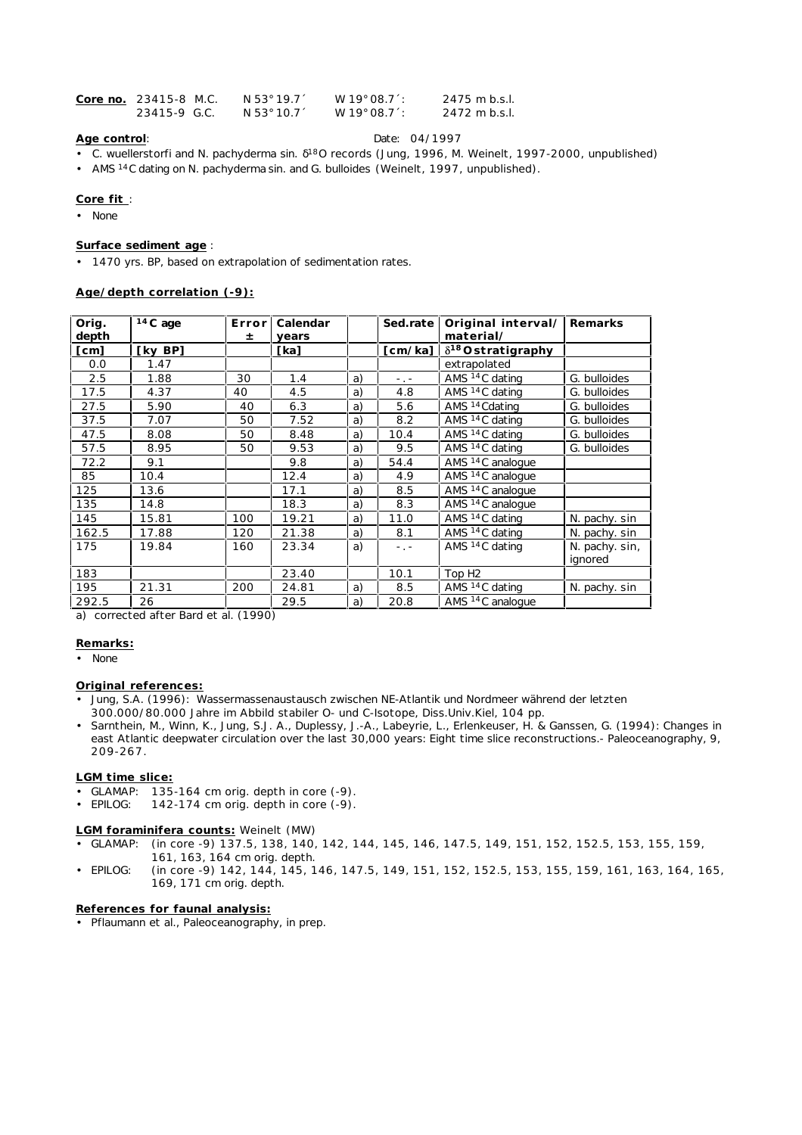| Core no. 23415-8 M.C. | N 53° 19.71 | $W$ 19 $^{\circ}$ 08.7 $^{\prime}$ : | 2475 m b.s.l. |
|-----------------------|-------------|--------------------------------------|---------------|
| 23415-9 G.C.          | N 53° 10.7  | $W$ 19 $^{\circ}$ 08.7 $^{\prime}$ : | 2472 m b.s.l. |

# **Age control**: Date: 04/1997

- *C. wuellerstorfi and N. pachyderma* sin. 18O records (Jung, 1996, M. Weinelt, 1997-2000, unpublished)
- AMS 14C dating on *N. pachyderma* sin. and *G. bulloides* (Weinelt, 1997, unpublished).

### **Core fit** :

• None

### **Surface sediment age** :

• 1470 yrs. BP, based on extrapolation of sedimentation rates.

## **Age/depth correlation (-9):**

| Orig.<br>depth | $14C$ age | Errorl<br>± | Calendar<br>years |    | Sed.rate                | Original interval/<br>material/ | Remarks                   |
|----------------|-----------|-------------|-------------------|----|-------------------------|---------------------------------|---------------------------|
| [cm]           | [kv BP]   |             | [ka]              |    | $\lceil$ cm/ka $\rceil$ | $\delta^{18}$ Ostratigraphy     |                           |
| 0.0            | 1.47      |             |                   |    |                         | extrapolated                    |                           |
| 2.5            | 1.88      | 30          | 1.4               | a) | $-$ , $-$               | AMS <sup>14</sup> C dating      | G. bulloides              |
| 17.5           | 4.37      | 40          | 4.5               | a) | 4.8                     | AMS <sup>14</sup> C dating      | G. bulloides              |
| 27.5           | 5.90      | 40          | 6.3               | a) | 5.6                     | AMS <sup>14</sup> Cdating       | G. bulloides              |
| 37.5           | 7.07      | 50          | 7.52              | a) | 8.2                     | AMS <sup>14</sup> C dating      | G. bulloides              |
| 47.5           | 8.08      | 50          | 8.48              | a) | 10.4                    | AMS <sup>14</sup> C dating      | G. bulloides              |
| 57.5           | 8.95      | 50          | 9.53              | a) | 9.5                     | AMS <sup>14</sup> C dating      | G. bulloides              |
| 72.2           | 9.1       |             | 9.8               | a) | 54.4                    | AMS <sup>14</sup> C analoque    |                           |
| 85             | 10.4      |             | 12.4              | a) | 4.9                     | AMS <sup>14</sup> C analogue    |                           |
| 125            | 13.6      |             | 17.1              | a) | 8.5                     | AMS <sup>14</sup> C analogue    |                           |
| 135            | 14.8      |             | 18.3              | a) | 8.3                     | AMS <sup>14</sup> C analogue    |                           |
| 145            | 15.81     | 100         | 19.21             | a) | 11.0                    | AMS <sup>14</sup> C dating      | N. pachy. sin             |
| 162.5          | 17.88     | 120         | 21.38             | a) | 8.1                     | AMS <sup>14</sup> C dating      | N. pachy. sin             |
| 175            | 19.84     | 160         | 23.34             | a) | $-$ , $-$               | AMS <sup>14</sup> C dating      | N. pachy. sin,<br>ignored |
| 183            |           |             | 23.40             |    | 10.1                    | Top H <sub>2</sub>              |                           |
| 195            | 21.31     | 200         | 24.81             | a) | 8.5                     | AMS <sup>14</sup> C dating      | N. pachy. sin             |
| 292.5          | 26        |             | 29.5              | a) | 20.8                    | AMS <sup>14</sup> C analogue    |                           |

a) corrected after Bard et al. (1990)

#### **Remarks:**

• None

### **Original references:**

- Jung, S.A. (1996): Wassermassenaustausch zwischen NE-Atlantik und Nordmeer während der letzten
- 300.000/80.000 Jahre im Abbild stabiler O- und C-Isotope, Diss.Univ.Kiel, 104 pp.
- Sarnthein, M., Winn, K., Jung, S.J. A., Duplessy, J.-A., Labeyrie, L., Erlenkeuser, H. & Ganssen, G. (1994): Changes in east Atlantic deepwater circulation over the last 30,000 years: Eight time slice reconstructions.- Paleoceanography, 9, 209-267.

#### **LGM time slice:**

- $\overline{\bullet}$  GLAMAP: 135-164 cm orig. depth in core (-9).
- EPILOG: 142-174 cm orig. depth in core (-9).

## **LGM foraminifera counts:** Weinelt (MW)

- GLAMAP: (in core -9) 137.5, 138, 140, 142, 144, 145, 146, 147.5, 149, 151, 152, 152.5, 153, 155, 159, 161, 163, 164 cm orig. depth.
- EPILOG: (in core -9) 142, 144, 145, 146, 147.5, 149, 151, 152, 152.5, 153, 155, 159, 161, 163, 164, 165, 169, 171 cm orig. depth.

### **References for faunal analysis:**

• Pflaumann et al., Paleoceanography, in prep.